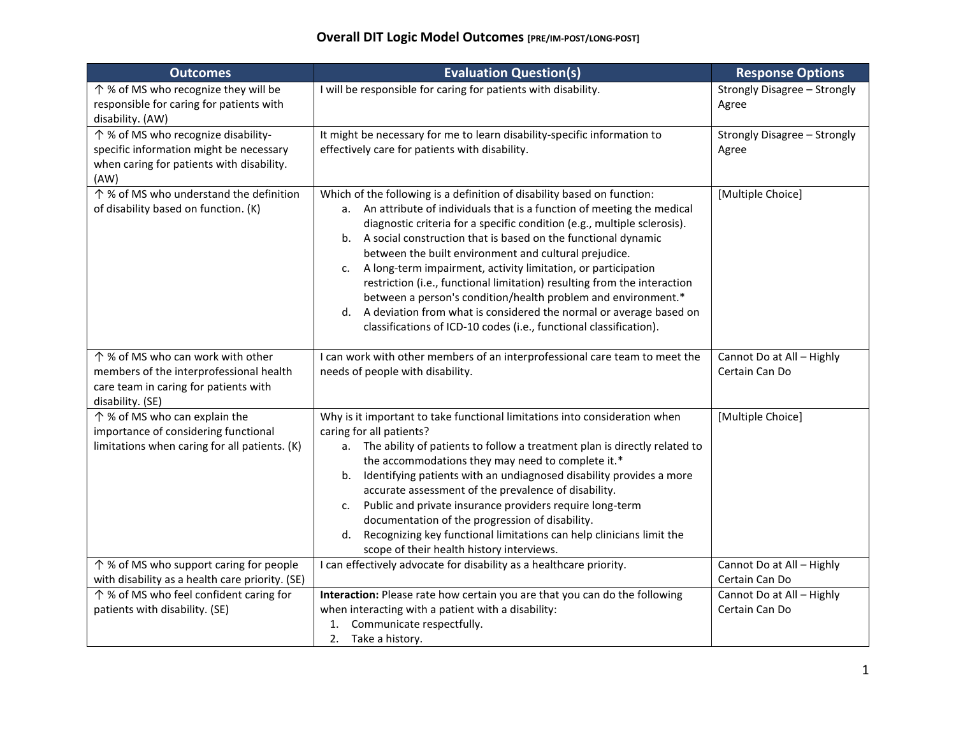| <b>Outcomes</b>                                                                                                                           | <b>Evaluation Question(s)</b>                                                                                                                                                                                                                                                                                                                                                                                                                                                                                                                                                                                                                                                                                                      | <b>Response Options</b>                     |
|-------------------------------------------------------------------------------------------------------------------------------------------|------------------------------------------------------------------------------------------------------------------------------------------------------------------------------------------------------------------------------------------------------------------------------------------------------------------------------------------------------------------------------------------------------------------------------------------------------------------------------------------------------------------------------------------------------------------------------------------------------------------------------------------------------------------------------------------------------------------------------------|---------------------------------------------|
| ↑ % of MS who recognize they will be<br>responsible for caring for patients with<br>disability. (AW)                                      | I will be responsible for caring for patients with disability.                                                                                                                                                                                                                                                                                                                                                                                                                                                                                                                                                                                                                                                                     | Strongly Disagree - Strongly<br>Agree       |
| ↑ % of MS who recognize disability-<br>specific information might be necessary<br>when caring for patients with disability.<br>(AW)       | It might be necessary for me to learn disability-specific information to<br>effectively care for patients with disability.                                                                                                                                                                                                                                                                                                                                                                                                                                                                                                                                                                                                         | Strongly Disagree - Strongly<br>Agree       |
| ↑ % of MS who understand the definition<br>of disability based on function. (K)                                                           | Which of the following is a definition of disability based on function:<br>a. An attribute of individuals that is a function of meeting the medical<br>diagnostic criteria for a specific condition (e.g., multiple sclerosis).<br>b. A social construction that is based on the functional dynamic<br>between the built environment and cultural prejudice.<br>A long-term impairment, activity limitation, or participation<br>c.<br>restriction (i.e., functional limitation) resulting from the interaction<br>between a person's condition/health problem and environment.*<br>A deviation from what is considered the normal or average based on<br>d.<br>classifications of ICD-10 codes (i.e., functional classification). | [Multiple Choice]                           |
| ↑ % of MS who can work with other<br>members of the interprofessional health<br>care team in caring for patients with<br>disability. (SE) | I can work with other members of an interprofessional care team to meet the<br>needs of people with disability.                                                                                                                                                                                                                                                                                                                                                                                                                                                                                                                                                                                                                    | Cannot Do at All - Highly<br>Certain Can Do |
| ↑ % of MS who can explain the<br>importance of considering functional<br>limitations when caring for all patients. (K)                    | Why is it important to take functional limitations into consideration when<br>caring for all patients?<br>a. The ability of patients to follow a treatment plan is directly related to<br>the accommodations they may need to complete it.*<br>Identifying patients with an undiagnosed disability provides a more<br>b.<br>accurate assessment of the prevalence of disability.<br>Public and private insurance providers require long-term<br>c.<br>documentation of the progression of disability.<br>Recognizing key functional limitations can help clinicians limit the<br>d.<br>scope of their health history interviews.                                                                                                   | [Multiple Choice]                           |
| ↑ % of MS who support caring for people<br>with disability as a health care priority. (SE)                                                | I can effectively advocate for disability as a healthcare priority.                                                                                                                                                                                                                                                                                                                                                                                                                                                                                                                                                                                                                                                                | Cannot Do at All - Highly<br>Certain Can Do |
| ↑ % of MS who feel confident caring for<br>patients with disability. (SE)                                                                 | Interaction: Please rate how certain you are that you can do the following<br>when interacting with a patient with a disability:<br>Communicate respectfully.<br>1.<br>2.<br>Take a history.                                                                                                                                                                                                                                                                                                                                                                                                                                                                                                                                       | Cannot Do at All - Highly<br>Certain Can Do |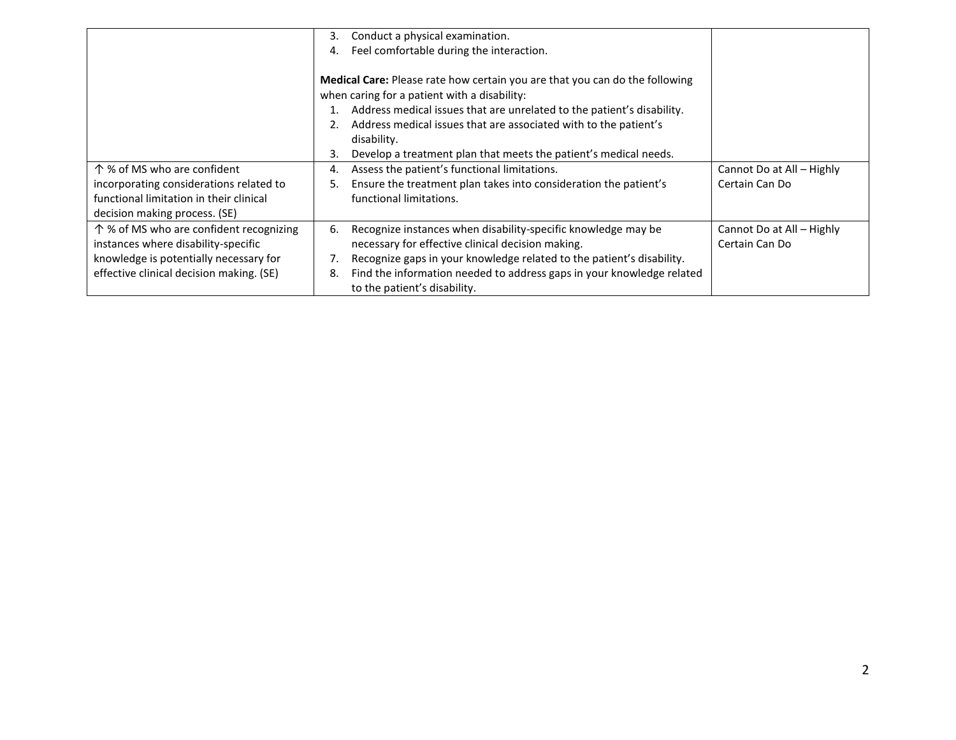|                                          | Conduct a physical examination.<br>3.                                       |                           |
|------------------------------------------|-----------------------------------------------------------------------------|---------------------------|
|                                          | Feel comfortable during the interaction.<br>4.                              |                           |
|                                          |                                                                             |                           |
|                                          | Medical Care: Please rate how certain you are that you can do the following |                           |
|                                          | when caring for a patient with a disability:                                |                           |
|                                          | Address medical issues that are unrelated to the patient's disability.      |                           |
|                                          | Address medical issues that are associated with to the patient's            |                           |
|                                          | disability.                                                                 |                           |
|                                          | Develop a treatment plan that meets the patient's medical needs.<br>3.      |                           |
| 个 % of MS who are confident              | Assess the patient's functional limitations.<br>4.                          | Cannot Do at All - Highly |
| incorporating considerations related to  | Ensure the treatment plan takes into consideration the patient's<br>5.      | Certain Can Do            |
| functional limitation in their clinical  | functional limitations.                                                     |                           |
| decision making process. (SE)            |                                                                             |                           |
| ↑ % of MS who are confident recognizing  | Recognize instances when disability-specific knowledge may be<br>6.         | Cannot Do at All - Highly |
| instances where disability-specific      | necessary for effective clinical decision making.                           | Certain Can Do            |
| knowledge is potentially necessary for   | Recognize gaps in your knowledge related to the patient's disability.       |                           |
| effective clinical decision making. (SE) | Find the information needed to address gaps in your knowledge related<br>8. |                           |
|                                          | to the patient's disability.                                                |                           |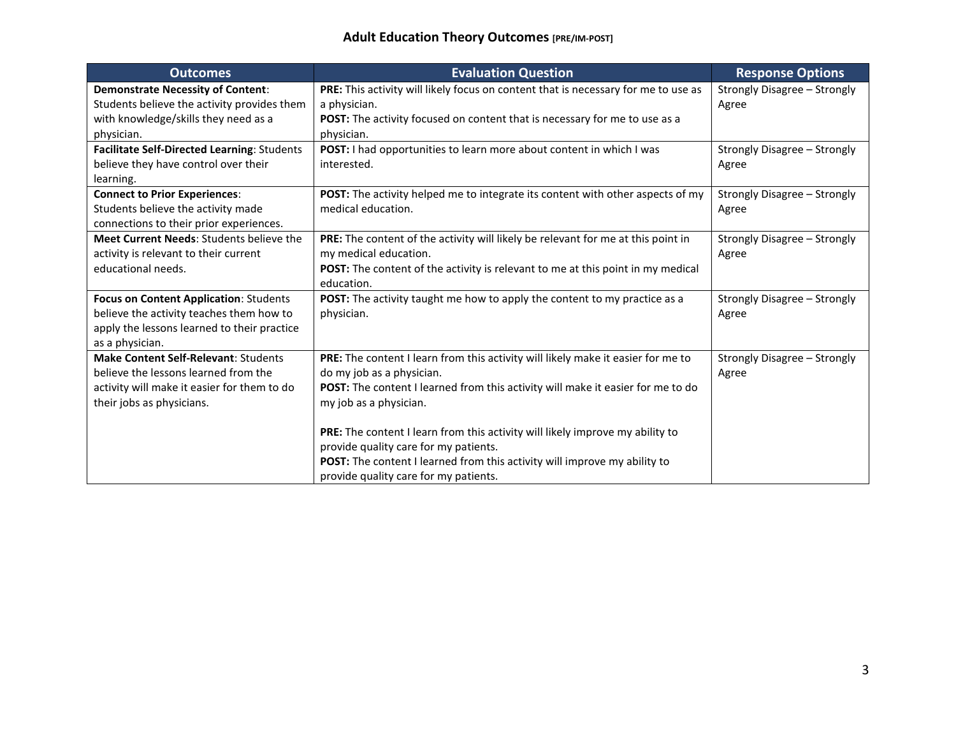| <b>Outcomes</b>                                                                                                                                                 | <b>Evaluation Question</b>                                                                                                                                                                                                                                                                                                                           | <b>Response Options</b>               |
|-----------------------------------------------------------------------------------------------------------------------------------------------------------------|------------------------------------------------------------------------------------------------------------------------------------------------------------------------------------------------------------------------------------------------------------------------------------------------------------------------------------------------------|---------------------------------------|
| <b>Demonstrate Necessity of Content:</b><br>Students believe the activity provides them<br>with knowledge/skills they need as a<br>physician.                   | PRE: This activity will likely focus on content that is necessary for me to use as<br>a physician.<br>POST: The activity focused on content that is necessary for me to use as a<br>physician.                                                                                                                                                       | Strongly Disagree - Strongly<br>Agree |
| Facilitate Self-Directed Learning: Students<br>believe they have control over their<br>learning.                                                                | POST: I had opportunities to learn more about content in which I was<br>interested.                                                                                                                                                                                                                                                                  | Strongly Disagree - Strongly<br>Agree |
| <b>Connect to Prior Experiences:</b><br>Students believe the activity made<br>connections to their prior experiences.                                           | POST: The activity helped me to integrate its content with other aspects of my<br>medical education.                                                                                                                                                                                                                                                 | Strongly Disagree - Strongly<br>Agree |
| Meet Current Needs: Students believe the<br>activity is relevant to their current<br>educational needs.                                                         | PRE: The content of the activity will likely be relevant for me at this point in<br>my medical education.<br>POST: The content of the activity is relevant to me at this point in my medical<br>education.                                                                                                                                           | Strongly Disagree - Strongly<br>Agree |
| <b>Focus on Content Application: Students</b><br>believe the activity teaches them how to<br>apply the lessons learned to their practice<br>as a physician.     | POST: The activity taught me how to apply the content to my practice as a<br>physician.                                                                                                                                                                                                                                                              | Strongly Disagree - Strongly<br>Agree |
| <b>Make Content Self-Relevant: Students</b><br>believe the lessons learned from the<br>activity will make it easier for them to do<br>their jobs as physicians. | PRE: The content I learn from this activity will likely make it easier for me to<br>do my job as a physician.<br>POST: The content I learned from this activity will make it easier for me to do<br>my job as a physician.<br>PRE: The content I learn from this activity will likely improve my ability to<br>provide quality care for my patients. | Strongly Disagree - Strongly<br>Agree |
|                                                                                                                                                                 | POST: The content I learned from this activity will improve my ability to<br>provide quality care for my patients.                                                                                                                                                                                                                                   |                                       |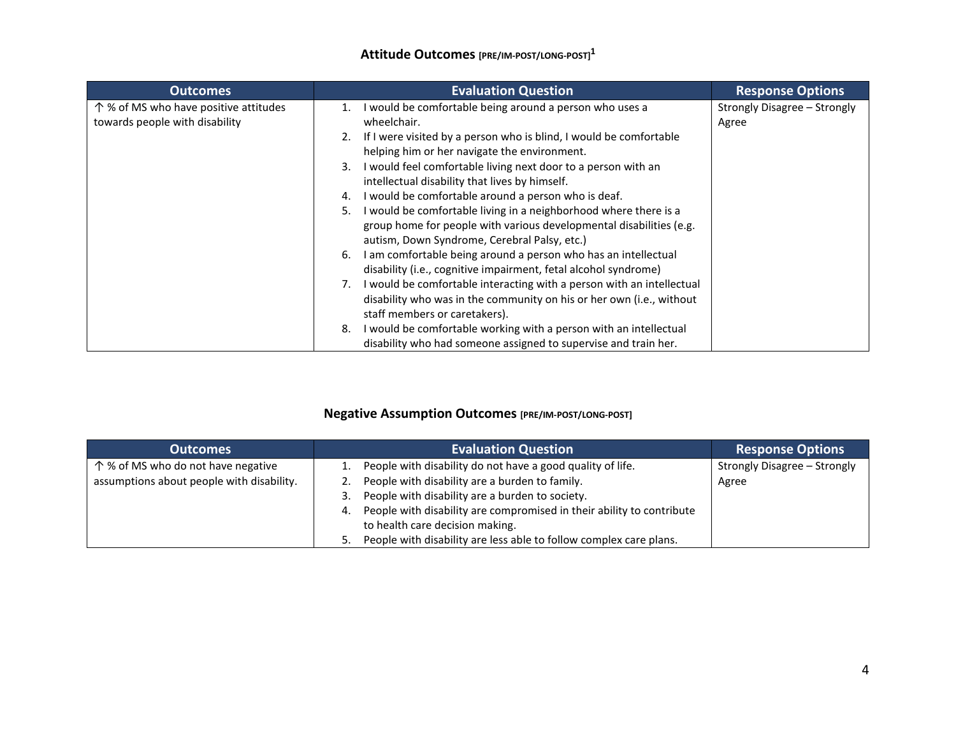## **Attitude Outcomes [PRE/IM-POST/LONG-POST] 1**

| <b>Outcomes</b>                                                        | <b>Evaluation Question</b>                                                                                                                                                                                                                                                                                                                                                                                                                                                                                                                                                                                                                                                                                                           | <b>Response Options</b>               |
|------------------------------------------------------------------------|--------------------------------------------------------------------------------------------------------------------------------------------------------------------------------------------------------------------------------------------------------------------------------------------------------------------------------------------------------------------------------------------------------------------------------------------------------------------------------------------------------------------------------------------------------------------------------------------------------------------------------------------------------------------------------------------------------------------------------------|---------------------------------------|
| 个% of MS who have positive attitudes<br>towards people with disability | I would be comfortable being around a person who uses a<br>wheelchair.<br>If I were visited by a person who is blind, I would be comfortable<br>2.<br>helping him or her navigate the environment.<br>I would feel comfortable living next door to a person with an<br>3.<br>intellectual disability that lives by himself.<br>I would be comfortable around a person who is deaf.<br>4.<br>I would be comfortable living in a neighborhood where there is a<br>5.<br>group home for people with various developmental disabilities (e.g.<br>autism, Down Syndrome, Cerebral Palsy, etc.)<br>I am comfortable being around a person who has an intellectual<br>6.<br>disability (i.e., cognitive impairment, fetal alcohol syndrome) | Strongly Disagree - Strongly<br>Agree |
|                                                                        | I would be comfortable interacting with a person with an intellectual<br>7.<br>disability who was in the community on his or her own (i.e., without<br>staff members or caretakers).<br>I would be comfortable working with a person with an intellectual<br>8.<br>disability who had someone assigned to supervise and train her.                                                                                                                                                                                                                                                                                                                                                                                                   |                                       |

## **Negative Assumption Outcomes [PRE/IM-POST/LONG-POST]**

| <b>Outcomes</b>                           | <b>Evaluation Question</b>                                                  | <b>Response Options</b>      |
|-------------------------------------------|-----------------------------------------------------------------------------|------------------------------|
| 个 % of MS who do not have negative        | People with disability do not have a good quality of life.                  | Strongly Disagree - Strongly |
| assumptions about people with disability. | People with disability are a burden to family.                              | Agree                        |
|                                           | People with disability are a burden to society.                             |                              |
|                                           | People with disability are compromised in their ability to contribute<br>4. |                              |
|                                           | to health care decision making.                                             |                              |
|                                           | People with disability are less able to follow complex care plans.          |                              |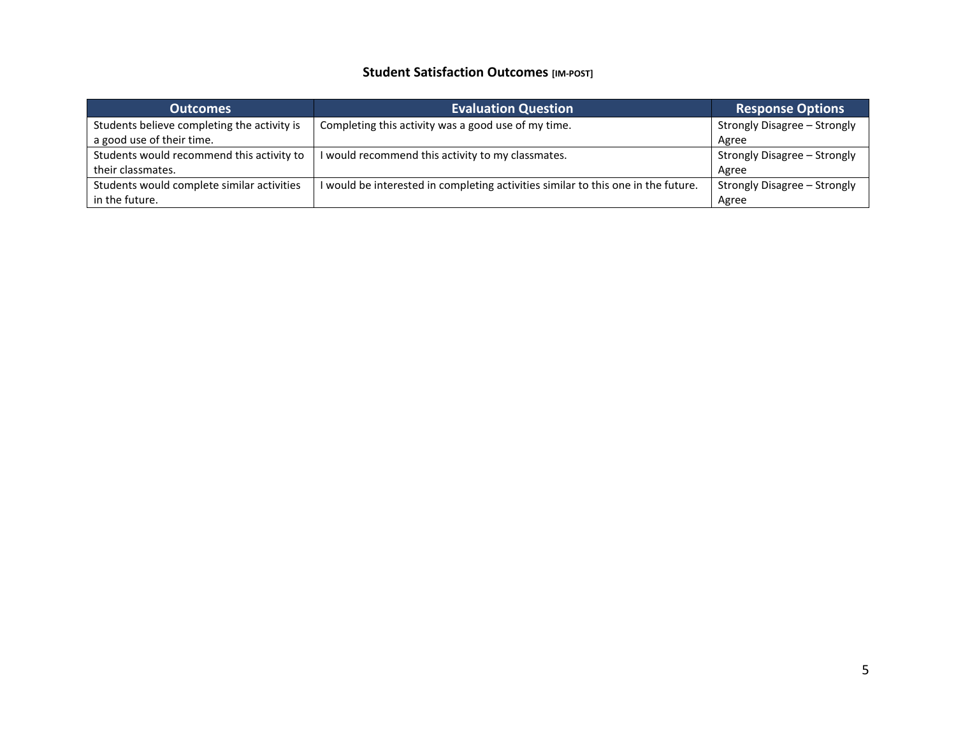## **Student Satisfaction Outcomes [IM-POST]**

| <b>Outcomes</b>                             | <b>Evaluation Question</b>                                                      | <b>Response Options</b>      |
|---------------------------------------------|---------------------------------------------------------------------------------|------------------------------|
| Students believe completing the activity is | Completing this activity was a good use of my time.                             | Strongly Disagree - Strongly |
| a good use of their time.                   |                                                                                 | Agree                        |
| Students would recommend this activity to   | I would recommend this activity to my classmates.                               | Strongly Disagree - Strongly |
| their classmates.                           |                                                                                 | Agree                        |
| Students would complete similar activities  | would be interested in completing activities similar to this one in the future. | Strongly Disagree - Strongly |
| in the future.                              |                                                                                 | Agree                        |